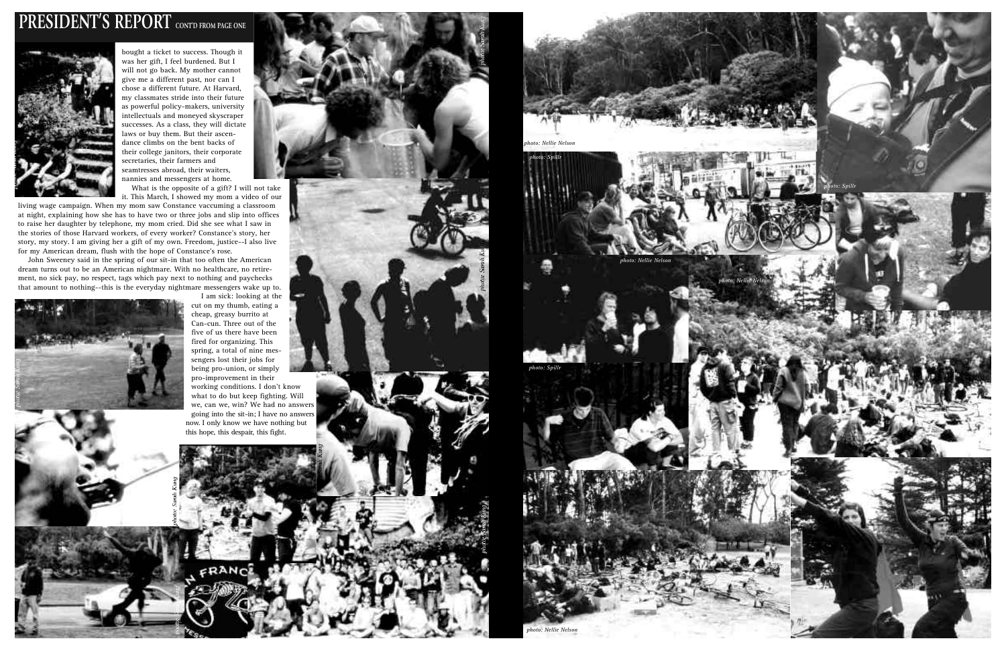# **PRESIDENT'S REPORT** CONTD FROM PAGE ONE



bought a ticket to success. Though it was her gift, I feel burdened. But I will not go back. My mother cannot give me a different past, nor can I chose a different future. At Harvard, my classmates stride into their future as powerful policy-makers, university intellectuals and moneyed skyscraper successes. As a class, they will dictate laws or buy them. But their ascendance climbs on the bent backs of their college janitors, their corporate secretaries, their farmers and seamtresses abroad, their waiters, nannies and messengers at home. What is the opposite of a gift? I will not take

it. This March, I showed my mom a video of our

living wage campaign. When my mom saw Constance vaccuming a classroom at night, explaining how she has to have two or three jobs and slip into offices to raise her daughter by telephone, my mom cried. Did she see what I saw in the stories of those Harvard workers, of every worker? Constance's story, her story, my story. I am giving her a gift of my own. Freedom, justice--I also live for my American dream, flush with the hope of Constance's rose.

John Sweeney said in the spring of our sit-in that too often the American dream turns out to be an American nightmare. With no healthcare, no retirement, no sick pay, no respect, tags which pay next to nothing and paychecks that amount to nothing--this is the everyday nightmare messengers wake up to.



I am sick: looking at the cut on my thumb, eating a cheap, greasy burrito at Can-cun. Three out of the five of us there have been fired for organizing. This spring, a total of nine messengers lost their jobs for being pro-union, or simply pro-improvement in their working conditions. I don't know what to do but keep fighting. Will we, can we, win? We had no answers going into the sit-in; I have no answers now. I only know we have nothing but this hope, this despair, this fight.